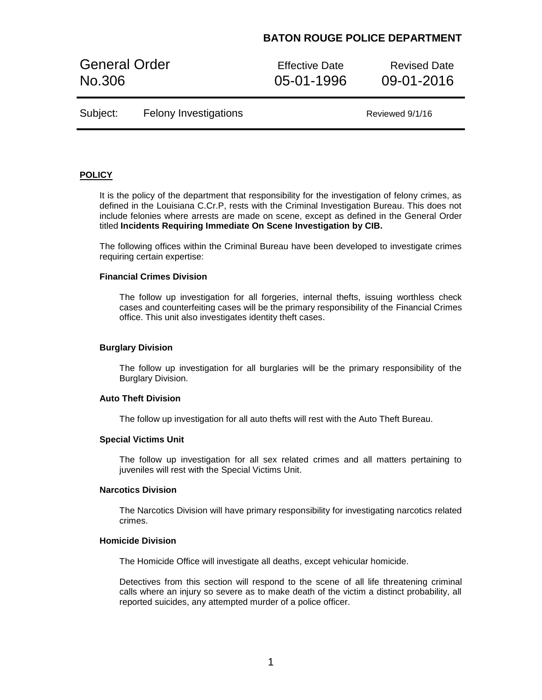General Order **Effective Date** Revised Date No.306 05-01-1996 09-01-2016

| Subject: | <b>Felony Investigations</b> |
|----------|------------------------------|
|----------|------------------------------|

Reviewed 9/1/16

## **POLICY**

It is the policy of the department that responsibility for the investigation of felony crimes, as defined in the Louisiana C.Cr.P, rests with the Criminal Investigation Bureau. This does not include felonies where arrests are made on scene, except as defined in the General Order titled **Incidents Requiring Immediate On Scene Investigation by CIB.**

The following offices within the Criminal Bureau have been developed to investigate crimes requiring certain expertise:

## **Financial Crimes Division**

The follow up investigation for all forgeries, internal thefts, issuing worthless check cases and counterfeiting cases will be the primary responsibility of the Financial Crimes office. This unit also investigates identity theft cases.

#### **Burglary Division**

The follow up investigation for all burglaries will be the primary responsibility of the Burglary Division.

### **Auto Theft Division**

The follow up investigation for all auto thefts will rest with the Auto Theft Bureau.

#### **Special Victims Unit**

The follow up investigation for all sex related crimes and all matters pertaining to juveniles will rest with the Special Victims Unit.

#### **Narcotics Division**

The Narcotics Division will have primary responsibility for investigating narcotics related crimes.

### **Homicide Division**

The Homicide Office will investigate all deaths, except vehicular homicide.

Detectives from this section will respond to the scene of all life threatening criminal calls where an injury so severe as to make death of the victim a distinct probability, all reported suicides, any attempted murder of a police officer.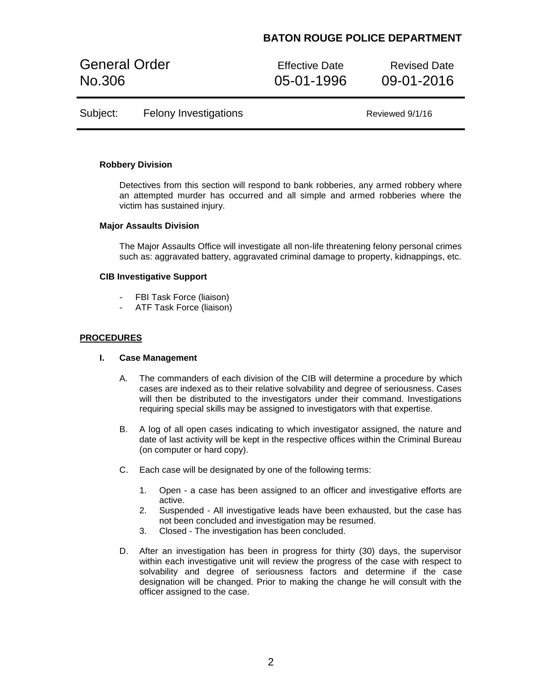General Order **Effective Date** Revised Date No.306 05-01-1996 09-01-2016

Subject: Felony Investigations The Control of Reviewed 9/1/16

### **Robbery Division**

Detectives from this section will respond to bank robberies, any armed robbery where an attempted murder has occurred and all simple and armed robberies where the victim has sustained injury.

#### **Major Assaults Division**

The Major Assaults Office will investigate all non-life threatening felony personal crimes such as: aggravated battery, aggravated criminal damage to property, kidnappings, etc.

### **CIB Investigative Support**

- FBI Task Force (liaison)
- ATF Task Force (liaison)

## **PROCEDURES**

## **I. Case Management**

- A. The commanders of each division of the CIB will determine a procedure by which cases are indexed as to their relative solvability and degree of seriousness. Cases will then be distributed to the investigators under their command. Investigations requiring special skills may be assigned to investigators with that expertise.
- B. A log of all open cases indicating to which investigator assigned, the nature and date of last activity will be kept in the respective offices within the Criminal Bureau (on computer or hard copy).
- C. Each case will be designated by one of the following terms:
	- 1. Open a case has been assigned to an officer and investigative efforts are active.
	- 2. Suspended All investigative leads have been exhausted, but the case has not been concluded and investigation may be resumed.
	- 3. Closed The investigation has been concluded.
- D. After an investigation has been in progress for thirty (30) days, the supervisor within each investigative unit will review the progress of the case with respect to solvability and degree of seriousness factors and determine if the case designation will be changed. Prior to making the change he will consult with the officer assigned to the case.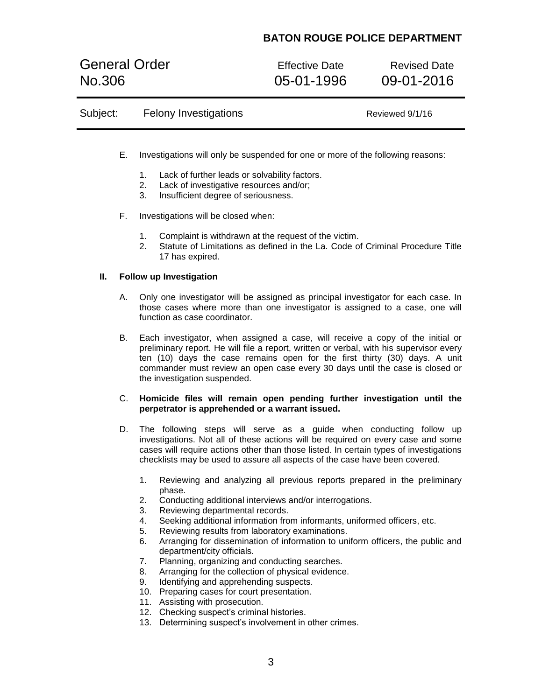General Order **Effective Date** Revised Date No.306 05-01-1996 09-01-2016

| Subject: | <b>Felony Investigations</b> | Reviewed 9/1/16 |  |
|----------|------------------------------|-----------------|--|
|          |                              |                 |  |

- E. Investigations will only be suspended for one or more of the following reasons:
	- 1. Lack of further leads or solvability factors.
	- 2. Lack of investigative resources and/or;
	- 3. Insufficient degree of seriousness.
- F. Investigations will be closed when:
	- 1. Complaint is withdrawn at the request of the victim.
	- 2. Statute of Limitations as defined in the La. Code of Criminal Procedure Title 17 has expired.

## **II. Follow up Investigation**

- A. Only one investigator will be assigned as principal investigator for each case. In those cases where more than one investigator is assigned to a case, one will function as case coordinator.
- B. Each investigator, when assigned a case, will receive a copy of the initial or preliminary report. He will file a report, written or verbal, with his supervisor every ten (10) days the case remains open for the first thirty (30) days. A unit commander must review an open case every 30 days until the case is closed or the investigation suspended.
- C. **Homicide files will remain open pending further investigation until the perpetrator is apprehended or a warrant issued.**
- D. The following steps will serve as a guide when conducting follow up investigations. Not all of these actions will be required on every case and some cases will require actions other than those listed. In certain types of investigations checklists may be used to assure all aspects of the case have been covered.
	- 1. Reviewing and analyzing all previous reports prepared in the preliminary phase.
	- 2. Conducting additional interviews and/or interrogations.
	- 3. Reviewing departmental records.
	- 4. Seeking additional information from informants, uniformed officers, etc.
	- 5. Reviewing results from laboratory examinations.
	- 6. Arranging for dissemination of information to uniform officers, the public and department/city officials.
	- 7. Planning, organizing and conducting searches.
	- 8. Arranging for the collection of physical evidence.
	- 9. Identifying and apprehending suspects.
	- 10. Preparing cases for court presentation.
	- 11. Assisting with prosecution.
	- 12. Checking suspect's criminal histories.
	- 13. Determining suspect's involvement in other crimes.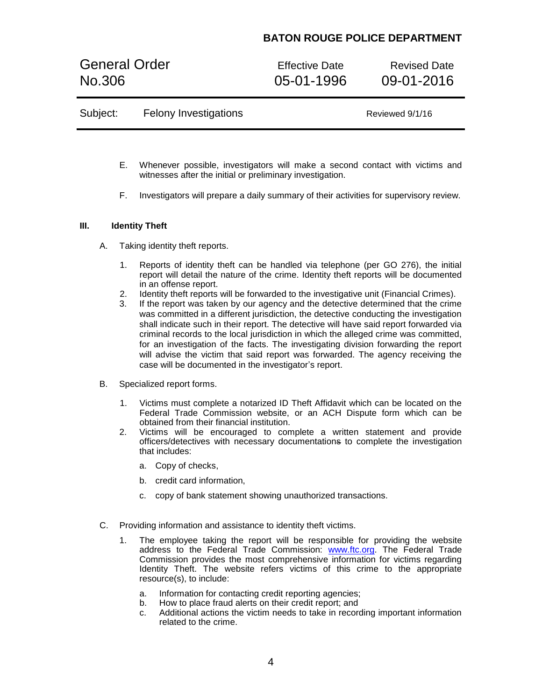General Order **Effective Date** Revised Date No.306 05-01-1996 09-01-2016

| Subject:<br><b>Felony Investigations</b> | Reviewed 9/1/16 |
|------------------------------------------|-----------------|
|------------------------------------------|-----------------|

- E. Whenever possible, investigators will make a second contact with victims and witnesses after the initial or preliminary investigation.
- F. Investigators will prepare a daily summary of their activities for supervisory review.

## **III. Identity Theft**

- A. Taking identity theft reports.
	- 1. Reports of identity theft can be handled via telephone (per GO 276), the initial report will detail the nature of the crime. Identity theft reports will be documented in an offense report.
	- 2. Identity theft reports will be forwarded to the investigative unit (Financial Crimes).
	- 3. If the report was taken by our agency and the detective determined that the crime was committed in a different jurisdiction, the detective conducting the investigation shall indicate such in their report. The detective will have said report forwarded via criminal records to the local jurisdiction in which the alleged crime was committed, for an investigation of the facts. The investigating division forwarding the report will advise the victim that said report was forwarded. The agency receiving the case will be documented in the investigator's report.
- B. Specialized report forms.
	- 1. Victims must complete a notarized ID Theft Affidavit which can be located on the Federal Trade Commission website, or an ACH Dispute form which can be obtained from their financial institution.
	- 2. Victims will be encouraged to complete a written statement and provide officers/detectives with necessary documentations to complete the investigation that includes:
		- a. Copy of checks,
		- b. credit card information,
		- c. copy of bank statement showing unauthorized transactions.
- C. Providing information and assistance to identity theft victims.
	- 1. The employee taking the report will be responsible for providing the website address to the Federal Trade Commission: [www.ftc.org.](http://www.ftc.org/) The Federal Trade Commission provides the most comprehensive information for victims regarding Identity Theft. The website refers victims of this crime to the appropriate resource(s), to include:
		- a. Information for contacting credit reporting agencies;
		- b. How to place fraud alerts on their credit report; and
		- c. Additional actions the victim needs to take in recording important information related to the crime.